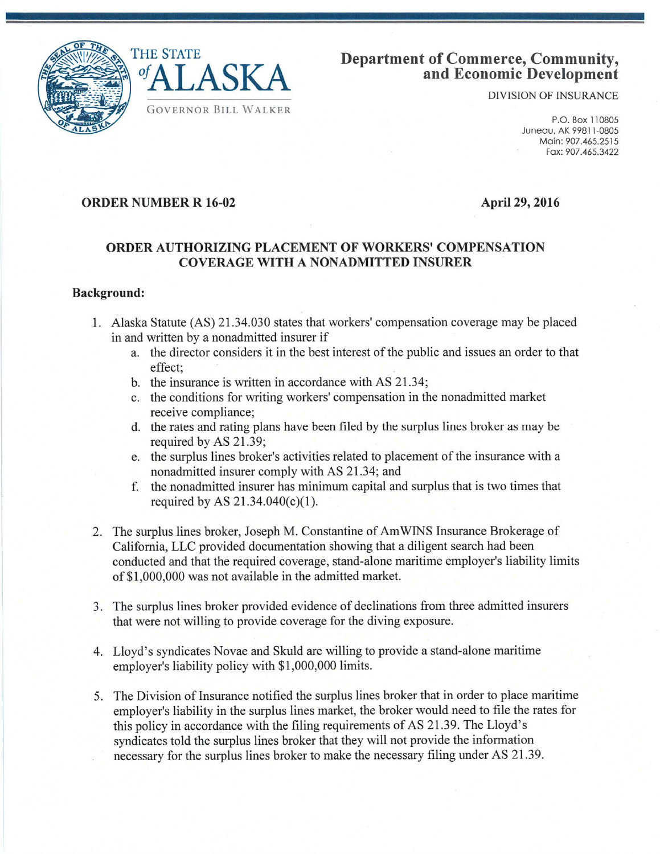



# **Department of Commerce, Community, and Economic Development**

DIVISION OF INSURANCE

P.O. Box 110805 Juneau. AK 99811-0805 Main: 907.465.2515 Fax: 907.465.3422

# **ORDER NUMBER R 16-02**

**April 29, 2016** 

## **ORDER AUTHORIZING PLACEMENT OF WORKERS' COMPENSATION COVERAGE WITH A NONADMITTED INSURER**

#### **Background:**

- 1. Alaska Statute (AS) 21.34.030 states that workers' compensation coverage may be placed in and written by a nonadmitted insurer if
	- a. the director considers it in the best interest of the public and issues an order to that effect;
	- b. the insurance is written in accordance with AS 21.34;
	- c. the conditions for writing workers' compensation in the nonadmitted market receive compliance;
	- d. the rates and rating plans have been filed by the surplus lines broker as may be required by AS 21.39;
	- e. the surplus lines broker's activities related to placement of the insurance with a nonadmitted insurer comply with AS 21.34; and
	- f. the nonadmitted insurer has minimum capital and surplus that is two times that required by AS  $21.34.040(c)(1)$ .
- 2. The surplus lines broker, Joseph M. Constantine of Am WINS Insurance Brokerage of California, LLC provided documentation showing that a diligent search had been conducted and that the required coverage, stand-alone maritime employer's liability limits of \$1,000,000 was not available in the admitted market.
- 3. The surplus lines broker provided evidence of declinations from three admitted insurers that were not willing to provide coverage for the diving exposure.
- 4. Lloyd's syndicates Novae and Skuld are willing to provide a stand-alone maritime employer's liability policy with \$1 ,000,000 limits.
- 5. The Division of Insurance notified the surplus lines broker that in order to place maritime employer's liability in the surplus lines market, the broker would need to file the rates for this policy in accordance with the filing requirements of AS 21.39. The Lloyd's syndicates told the surplus lines broker that they will not provide the information necessary for the surplus lines broker to make the necessary filing under AS 21.39.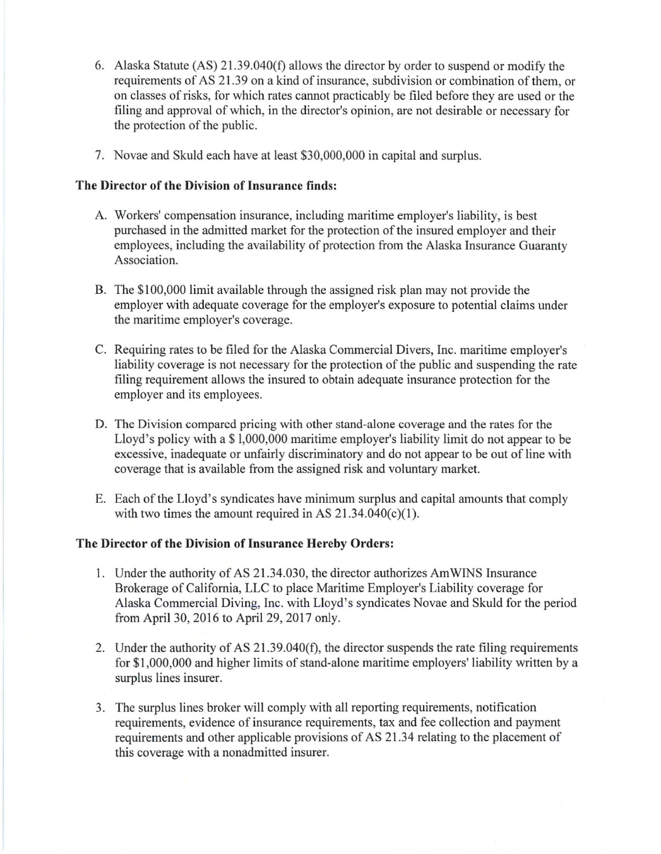- 6. Alaska Statute (AS) 21.39.040(f) allows the director by order to suspend or modify the requirements of AS 21.39 on a kind of insurance, subdivision or combination of them, or on classes of risks, for which rates cannot practicably be filed before they are used or the filing and approval of which, in the director's opinion, are not desirable or necessary for the protection of the public.
- 7. Novae and Skuld each have at least \$30,000,000 in capital and surplus.

## **The Director of the Division of Insurance finds:**

- A. Workers' compensation insurance, including maritime employer's liability, is best purchased in the admitted market for the protection of the insured employer and their employees, including the availability of protection from the Alaska Insurance Guaranty Association.
- B. The \$100,000 limit available through the assigned risk plan may not provide the employer with adequate coverage for the employer's exposure to potential claims under the maritime employer's coverage.
- C. Requiring rates to be filed for the Alaska Commercial Divers, Inc. maritime employer's liability coverage is not necessary for the protection of the public and suspending the rate filing requirement allows the insured to obtain adequate insurance protection for the employer and its employees.
- D. The Division compared pricing with other stand-alone coverage and the rates for the Lloyd's policy with a \$1,000,000 maritime employer's liability limit do not appear to be excessive, inadequate or unfairly discriminatory and do not appear to be out of line with coverage that is available from the assigned risk and voluntary market.
- E. Each of the Lloyd's syndicates have minimum surplus and capital amounts that comply with two times the amount required in AS  $21.34.040(c)(1)$ .

# **The Director of the Division of Insurance Hereby Orders:**

- 1. Under the authority of AS 21.34.030, the director authorizes Am WINS Insurance Brokerage of California, LLC to place Maritime Employer's Liability coverage for Alaska Commercial Diving, Inc. with Lloyd's syndicates Novae and Skuld for the period from April 30, 2016 to April 29, 2017 only.
- 2. Under the authority of AS 21.39.040(f), the director suspends the rate filing requirements for \$1,000,000 and higher limits of stand-alone maritime employers' liability written by a surplus lines insurer.
- 3. The surplus lines broker will comply with all reporting requirements, notification requirements, evidence of insurance requirements, tax and fee collection and payment requirements and other applicable provisions of AS 21.34 relating to the placement of this coverage with a nonadmitted insurer.